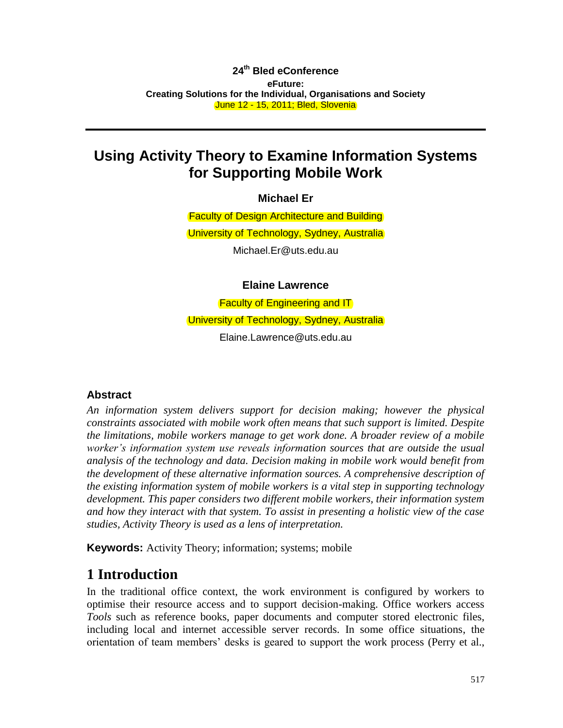#### **24 th Bled eConference eFuture: Creating Solutions for the Individual, Organisations and Society** June 12 - 15, 2011; Bled, Slovenia

## **Using Activity Theory to Examine Information Systems for Supporting Mobile Work**

**Michael Er**

Faculty of Design Architecture and Building University of Technology, Sydney, Australia

Michael.Er@uts.edu.au

**Elaine Lawrence**

Faculty of Engineering and IT University of Technology, Sydney, Australia

Elaine.Lawrence@uts.edu.au

#### **Abstract**

*An information system delivers support for decision making; however the physical constraints associated with mobile work often means that such support is limited. Despite the limitations, mobile workers manage to get work done. A broader review of a mobile worker's information system use reveals information sources that are outside the usual analysis of the technology and data. Decision making in mobile work would benefit from the development of these alternative information sources. A comprehensive description of the existing information system of mobile workers is a vital step in supporting technology development. This paper considers two different mobile workers, their information system and how they interact with that system. To assist in presenting a holistic view of the case studies, Activity Theory is used as a lens of interpretation.*

**Keywords:** Activity Theory; information; systems; mobile

## **1 Introduction**

In the traditional office context, the work environment is configured by workers to optimise their resource access and to support decision-making. Office workers access *Tools* such as reference books, paper documents and computer stored electronic files, including local and internet accessible server records. In some office situations, the orientation of team members" desks is geared to support the work process (Perry et al.,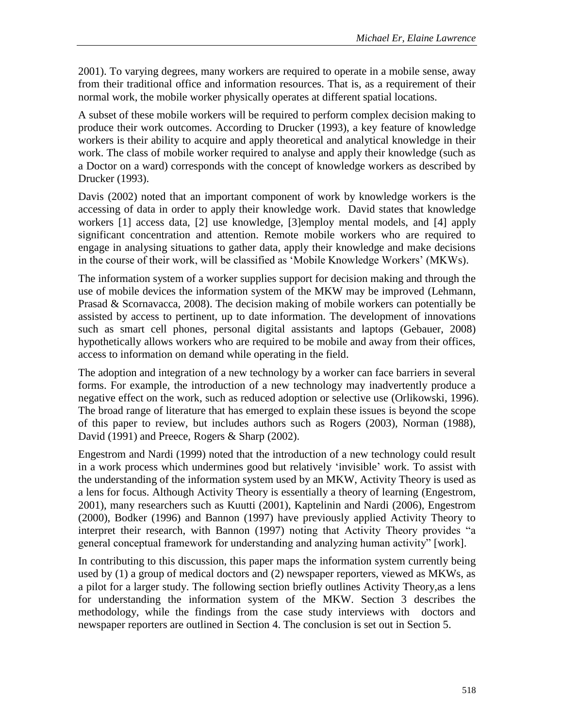2001). To varying degrees, many workers are required to operate in a mobile sense, away from their traditional office and information resources. That is, as a requirement of their normal work, the mobile worker physically operates at different spatial locations.

A subset of these mobile workers will be required to perform complex decision making to produce their work outcomes. According to Drucker (1993), a key feature of knowledge workers is their ability to acquire and apply theoretical and analytical knowledge in their work. The class of mobile worker required to analyse and apply their knowledge (such as a Doctor on a ward) corresponds with the concept of knowledge workers as described by Drucker (1993).

Davis (2002) noted that an important component of work by knowledge workers is the accessing of data in order to apply their knowledge work. David states that knowledge workers [1] access data, [2] use knowledge, [3]employ mental models, and [4] apply significant concentration and attention. Remote mobile workers who are required to engage in analysing situations to gather data, apply their knowledge and make decisions in the course of their work, will be classified as "Mobile Knowledge Workers" (MKWs).

The information system of a worker supplies support for decision making and through the use of mobile devices the information system of the MKW may be improved (Lehmann, Prasad & Scornavacca, 2008). The decision making of mobile workers can potentially be assisted by access to pertinent, up to date information. The development of innovations such as smart cell phones, personal digital assistants and laptops (Gebauer, 2008) hypothetically allows workers who are required to be mobile and away from their offices, access to information on demand while operating in the field.

The adoption and integration of a new technology by a worker can face barriers in several forms. For example, the introduction of a new technology may inadvertently produce a negative effect on the work, such as reduced adoption or selective use (Orlikowski, 1996). The broad range of literature that has emerged to explain these issues is beyond the scope of this paper to review, but includes authors such as Rogers (2003), Norman (1988), David (1991) and Preece, Rogers & Sharp (2002).

Engestrom and Nardi (1999) noted that the introduction of a new technology could result in a work process which undermines good but relatively "invisible" work. To assist with the understanding of the information system used by an MKW, Activity Theory is used as a lens for focus. Although Activity Theory is essentially a theory of learning (Engestrom, 2001), many researchers such as Kuutti (2001), Kaptelinin and Nardi (2006), Engestrom (2000), Bodker (1996) and Bannon (1997) have previously applied Activity Theory to interpret their research, with Bannon (1997) noting that Activity Theory provides "a general conceptual framework for understanding and analyzing human activity" [work].

In contributing to this discussion, this paper maps the information system currently being used by (1) a group of medical doctors and (2) newspaper reporters, viewed as MKWs, as a pilot for a larger study. The following section briefly outlines Activity Theory,as a lens for understanding the information system of the MKW. Section 3 describes the methodology, while the findings from the case study interviews with doctors and newspaper reporters are outlined in Section 4. The conclusion is set out in Section 5.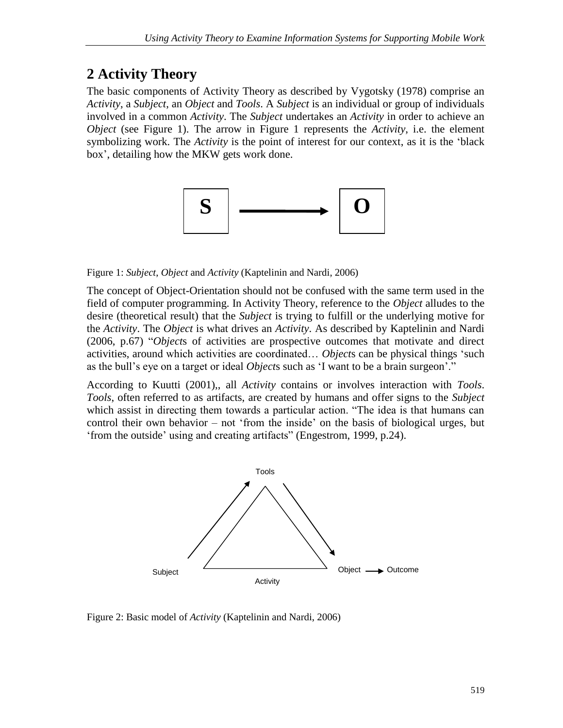# **2 Activity Theory**

The basic components of Activity Theory as described by Vygotsky (1978) comprise an *Activity*, a *Subject*, an *Object* and *Tools*. A *Subject* is an individual or group of individuals involved in a common *Activity*. The *Subject* undertakes an *Activity* in order to achieve an *Object* (see Figure 1). The arrow in Figure 1 represents the *Activity*, i.e. the element symbolizing work. The *Activity* is the point of interest for our context, as it is the "black box", detailing how the MKW gets work done.



Figure 1: *Subject*, *Object* and *Activity* (Kaptelinin and Nardi, 2006)

The concept of Object-Orientation should not be confused with the same term used in the field of computer programming. In Activity Theory, reference to the *Object* alludes to the desire (theoretical result) that the *Subject* is trying to fulfill or the underlying motive for the *Activity*. The *Object* is what drives an *Activity*. As described by Kaptelinin and Nardi (2006, p.67) "*Object*s of activities are prospective outcomes that motivate and direct activities, around which activities are coordinated… *Object*s can be physical things "such as the bull"s eye on a target or ideal *Object*s such as "I want to be a brain surgeon"."

According to Kuutti (2001),, all *Activity* contains or involves interaction with *Tools*. *Tools*, often referred to as artifacts, are created by humans and offer signs to the *Subject* which assist in directing them towards a particular action. "The idea is that humans can control their own behavior – not "from the inside" on the basis of biological urges, but "from the outside" using and creating artifacts" (Engestrom, 1999, p.24).



Figure 2: Basic model of *Activity* (Kaptelinin and Nardi, 2006)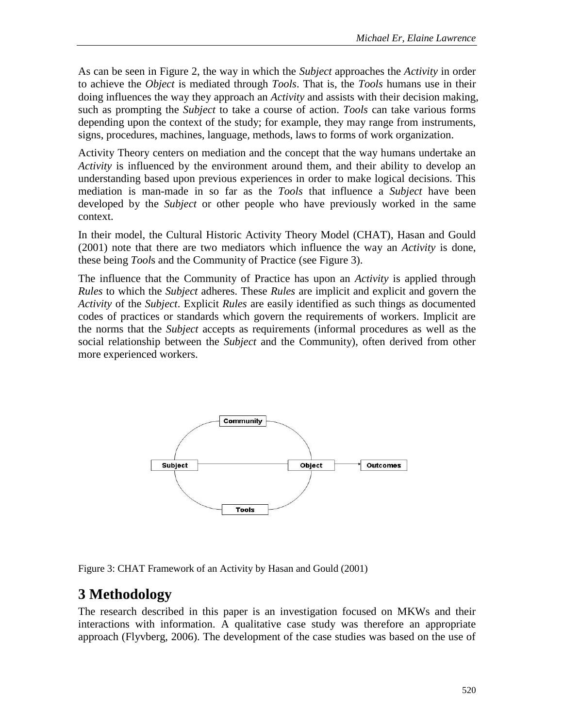As can be seen in Figure 2, the way in which the *Subject* approaches the *Activity* in order to achieve the *Object* is mediated through *Tools*. That is, the *Tools* humans use in their doing influences the way they approach an *Activity* and assists with their decision making, such as prompting the *Subject* to take a course of action. *Tools* can take various forms depending upon the context of the study; for example, they may range from instruments, signs, procedures, machines, language, methods, laws to forms of work organization.

Activity Theory centers on mediation and the concept that the way humans undertake an *Activity* is influenced by the environment around them, and their ability to develop an understanding based upon previous experiences in order to make logical decisions. This mediation is man-made in so far as the *Tools* that influence a *Subject* have been developed by the *Subject* or other people who have previously worked in the same context.

In their model, the Cultural Historic Activity Theory Model (CHAT), Hasan and Gould (2001) note that there are two mediators which influence the way an *Activity* is done, these being *Tool*s and the Community of Practice (see Figure 3).

The influence that the Community of Practice has upon an *Activity* is applied through *Rules* to which the *Subject* adheres. These *Rules* are implicit and explicit and govern the *Activity* of the *Subject*. Explicit *Rules* are easily identified as such things as documented codes of practices or standards which govern the requirements of workers. Implicit are the norms that the *Subject* accepts as requirements (informal procedures as well as the social relationship between the *Subject* and the Community), often derived from other more experienced workers.



Figure 3: CHAT Framework of an Activity by Hasan and Gould (2001)

## **3 Methodology**

The research described in this paper is an investigation focused on MKWs and their interactions with information. A qualitative case study was therefore an appropriate approach (Flyvberg, 2006). The development of the case studies was based on the use of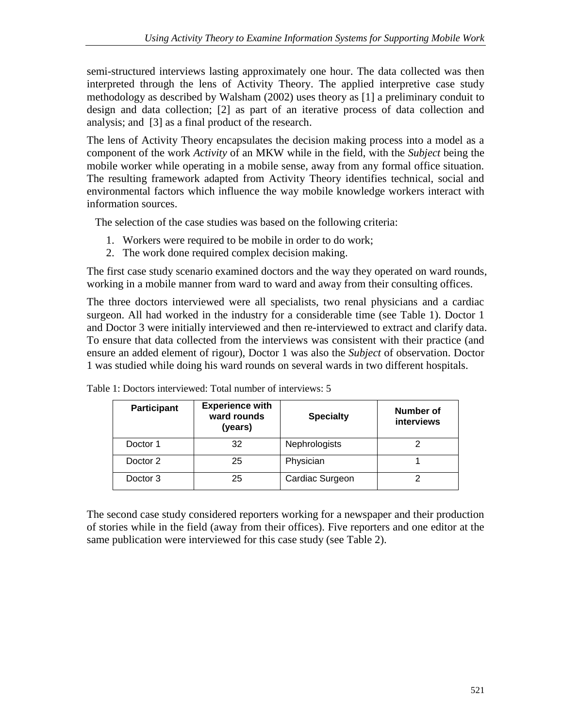semi-structured interviews lasting approximately one hour. The data collected was then interpreted through the lens of Activity Theory. The applied interpretive case study methodology as described by Walsham (2002) uses theory as [1] a preliminary conduit to design and data collection; [2] as part of an iterative process of data collection and analysis; and [3] as a final product of the research.

The lens of Activity Theory encapsulates the decision making process into a model as a component of the work *Activity* of an MKW while in the field, with the *Subject* being the mobile worker while operating in a mobile sense, away from any formal office situation. The resulting framework adapted from Activity Theory identifies technical, social and environmental factors which influence the way mobile knowledge workers interact with information sources.

The selection of the case studies was based on the following criteria:

- 1. Workers were required to be mobile in order to do work;
- 2. The work done required complex decision making.

The first case study scenario examined doctors and the way they operated on ward rounds, working in a mobile manner from ward to ward and away from their consulting offices.

The three doctors interviewed were all specialists, two renal physicians and a cardiac surgeon. All had worked in the industry for a considerable time (see Table 1). Doctor 1 and Doctor 3 were initially interviewed and then re-interviewed to extract and clarify data. To ensure that data collected from the interviews was consistent with their practice (and ensure an added element of rigour), Doctor 1 was also the *Subject* of observation. Doctor 1 was studied while doing his ward rounds on several wards in two different hospitals.

| <b>Participant</b> | <b>Experience with</b><br>ward rounds<br>(years) | <b>Specialty</b> | Number of<br>interviews |
|--------------------|--------------------------------------------------|------------------|-------------------------|
| Doctor 1           | 32                                               | Nephrologists    |                         |
| Doctor 2           | 25                                               | Physician        |                         |
| Doctor 3           | 25                                               | Cardiac Surgeon  |                         |

Table 1: Doctors interviewed: Total number of interviews: 5

The second case study considered reporters working for a newspaper and their production of stories while in the field (away from their offices). Five reporters and one editor at the same publication were interviewed for this case study (see Table 2).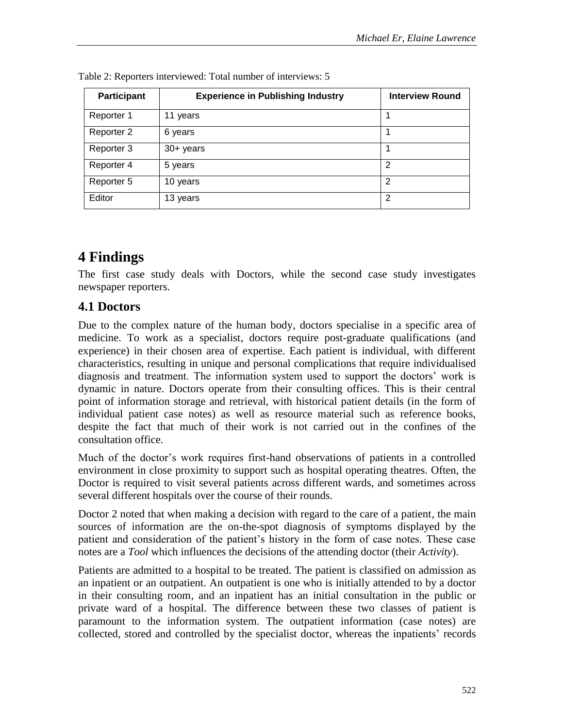| <b>Participant</b> | <b>Experience in Publishing Industry</b> | <b>Interview Round</b> |
|--------------------|------------------------------------------|------------------------|
| Reporter 1         | 11 years                                 |                        |
| Reporter 2         | 6 years                                  |                        |
| Reporter 3         | 30+ years                                |                        |
| Reporter 4         | 5 years                                  | 2                      |
| Reporter 5         | 10 years                                 | 2                      |
| Editor             | 13 years                                 | 2                      |

Table 2: Reporters interviewed: Total number of interviews: 5

## **4 Findings**

The first case study deals with Doctors, while the second case study investigates newspaper reporters.

#### **4.1 Doctors**

Due to the complex nature of the human body, doctors specialise in a specific area of medicine. To work as a specialist, doctors require post-graduate qualifications (and experience) in their chosen area of expertise. Each patient is individual, with different characteristics, resulting in unique and personal complications that require individualised diagnosis and treatment. The information system used to support the doctors" work is dynamic in nature. Doctors operate from their consulting offices. This is their central point of information storage and retrieval, with historical patient details (in the form of individual patient case notes) as well as resource material such as reference books, despite the fact that much of their work is not carried out in the confines of the consultation office.

Much of the doctor's work requires first-hand observations of patients in a controlled environment in close proximity to support such as hospital operating theatres. Often, the Doctor is required to visit several patients across different wards, and sometimes across several different hospitals over the course of their rounds.

Doctor 2 noted that when making a decision with regard to the care of a patient, the main sources of information are the on-the-spot diagnosis of symptoms displayed by the patient and consideration of the patient's history in the form of case notes. These case notes are a *Tool* which influences the decisions of the attending doctor (their *Activity*).

Patients are admitted to a hospital to be treated. The patient is classified on admission as an inpatient or an outpatient. An outpatient is one who is initially attended to by a doctor in their consulting room, and an inpatient has an initial consultation in the public or private ward of a hospital. The difference between these two classes of patient is paramount to the information system. The outpatient information (case notes) are collected, stored and controlled by the specialist doctor, whereas the inpatients' records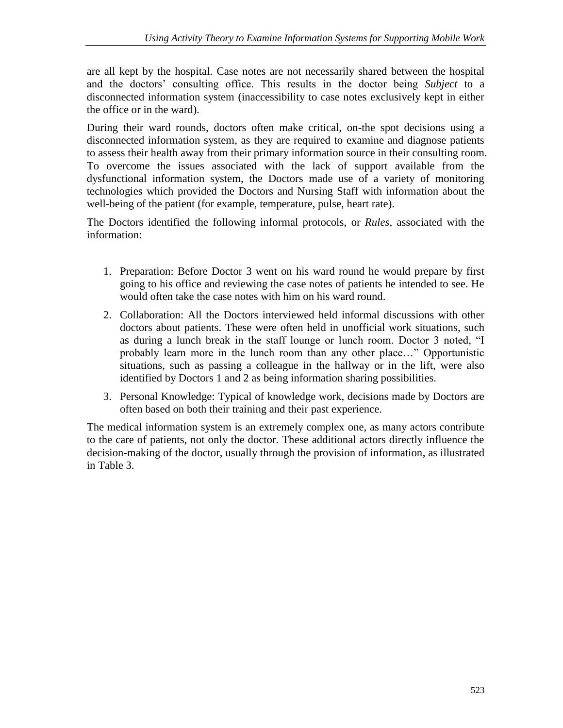are all kept by the hospital. Case notes are not necessarily shared between the hospital and the doctors" consulting office. This results in the doctor being *Subject* to a disconnected information system (inaccessibility to case notes exclusively kept in either the office or in the ward).

During their ward rounds, doctors often make critical, on-the spot decisions using a disconnected information system, as they are required to examine and diagnose patients to assess their health away from their primary information source in their consulting room. To overcome the issues associated with the lack of support available from the dysfunctional information system, the Doctors made use of a variety of monitoring technologies which provided the Doctors and Nursing Staff with information about the well-being of the patient (for example, temperature, pulse, heart rate).

The Doctors identified the following informal protocols, or *Rules*, associated with the information:

- 1. Preparation: Before Doctor 3 went on his ward round he would prepare by first going to his office and reviewing the case notes of patients he intended to see. He would often take the case notes with him on his ward round.
- 2. Collaboration: All the Doctors interviewed held informal discussions with other doctors about patients. These were often held in unofficial work situations, such as during a lunch break in the staff lounge or lunch room. Doctor 3 noted, "I probably learn more in the lunch room than any other place…" Opportunistic situations, such as passing a colleague in the hallway or in the lift, were also identified by Doctors 1 and 2 as being information sharing possibilities.
- 3. Personal Knowledge: Typical of knowledge work, decisions made by Doctors are often based on both their training and their past experience.

The medical information system is an extremely complex one, as many actors contribute to the care of patients, not only the doctor. These additional actors directly influence the decision-making of the doctor, usually through the provision of information, as illustrated in Table 3.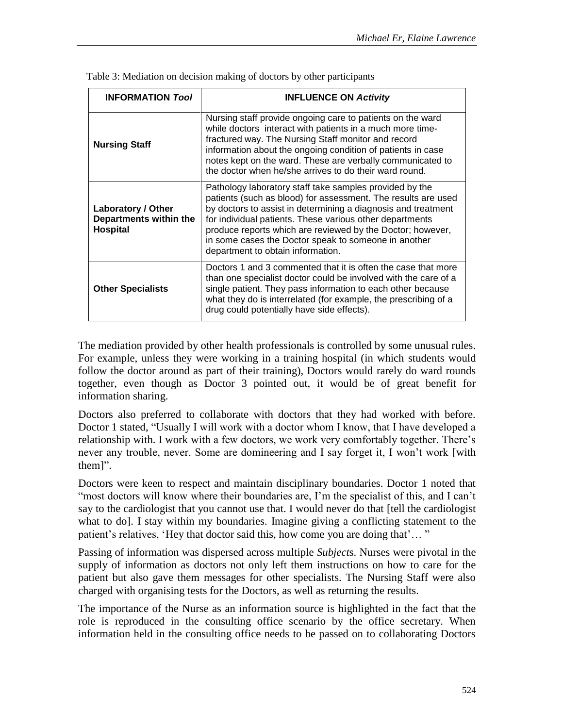| <b>INFORMATION Tool</b>                                         | <b>INFLUENCE ON Activity</b>                                                                                                                                                                                                                                                                                                                                                                                     |
|-----------------------------------------------------------------|------------------------------------------------------------------------------------------------------------------------------------------------------------------------------------------------------------------------------------------------------------------------------------------------------------------------------------------------------------------------------------------------------------------|
| <b>Nursing Staff</b>                                            | Nursing staff provide ongoing care to patients on the ward<br>while doctors interact with patients in a much more time-<br>fractured way. The Nursing Staff monitor and record<br>information about the ongoing condition of patients in case<br>notes kept on the ward. These are verbally communicated to<br>the doctor when he/she arrives to do their ward round.                                            |
| Laboratory / Other<br>Departments within the<br><b>Hospital</b> | Pathology laboratory staff take samples provided by the<br>patients (such as blood) for assessment. The results are used<br>by doctors to assist in determining a diagnosis and treatment<br>for individual patients. These various other departments<br>produce reports which are reviewed by the Doctor; however,<br>in some cases the Doctor speak to someone in another<br>department to obtain information. |
| <b>Other Specialists</b>                                        | Doctors 1 and 3 commented that it is often the case that more<br>than one specialist doctor could be involved with the care of a<br>single patient. They pass information to each other because<br>what they do is interrelated (for example, the prescribing of a<br>drug could potentially have side effects).                                                                                                 |

Table 3: Mediation on decision making of doctors by other participants

The mediation provided by other health professionals is controlled by some unusual rules. For example, unless they were working in a training hospital (in which students would follow the doctor around as part of their training), Doctors would rarely do ward rounds together, even though as Doctor 3 pointed out, it would be of great benefit for information sharing.

Doctors also preferred to collaborate with doctors that they had worked with before. Doctor 1 stated, "Usually I will work with a doctor whom I know, that I have developed a relationship with. I work with a few doctors, we work very comfortably together. There"s never any trouble, never. Some are domineering and I say forget it, I won"t work [with them]".

Doctors were keen to respect and maintain disciplinary boundaries. Doctor 1 noted that "most doctors will know where their boundaries are, I'm the specialist of this, and I can't say to the cardiologist that you cannot use that. I would never do that [tell the cardiologist what to do]. I stay within my boundaries. Imagine giving a conflicting statement to the patient's relatives, 'Hey that doctor said this, how come you are doing that'..."

Passing of information was dispersed across multiple *Subject*s. Nurses were pivotal in the supply of information as doctors not only left them instructions on how to care for the patient but also gave them messages for other specialists. The Nursing Staff were also charged with organising tests for the Doctors, as well as returning the results.

The importance of the Nurse as an information source is highlighted in the fact that the role is reproduced in the consulting office scenario by the office secretary. When information held in the consulting office needs to be passed on to collaborating Doctors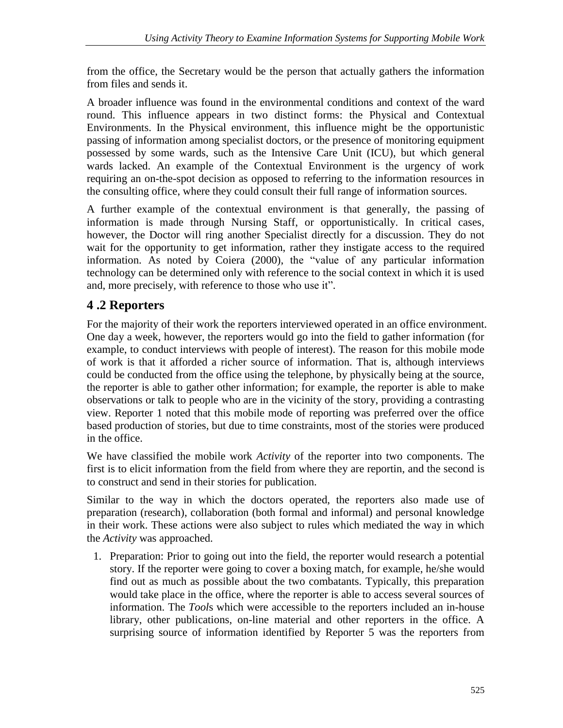from the office, the Secretary would be the person that actually gathers the information from files and sends it.

A broader influence was found in the environmental conditions and context of the ward round. This influence appears in two distinct forms: the Physical and Contextual Environments. In the Physical environment, this influence might be the opportunistic passing of information among specialist doctors, or the presence of monitoring equipment possessed by some wards, such as the Intensive Care Unit (ICU), but which general wards lacked. An example of the Contextual Environment is the urgency of work requiring an on-the-spot decision as opposed to referring to the information resources in the consulting office, where they could consult their full range of information sources.

A further example of the contextual environment is that generally, the passing of information is made through Nursing Staff, or opportunistically. In critical cases, however, the Doctor will ring another Specialist directly for a discussion. They do not wait for the opportunity to get information, rather they instigate access to the required information. As noted by Coiera (2000), the "value of any particular information technology can be determined only with reference to the social context in which it is used and, more precisely, with reference to those who use it".

#### **4 .2 Reporters**

For the majority of their work the reporters interviewed operated in an office environment. One day a week, however, the reporters would go into the field to gather information (for example, to conduct interviews with people of interest). The reason for this mobile mode of work is that it afforded a richer source of information. That is, although interviews could be conducted from the office using the telephone, by physically being at the source, the reporter is able to gather other information; for example, the reporter is able to make observations or talk to people who are in the vicinity of the story, providing a contrasting view. Reporter 1 noted that this mobile mode of reporting was preferred over the office based production of stories, but due to time constraints, most of the stories were produced in the office.

We have classified the mobile work *Activity* of the reporter into two components. The first is to elicit information from the field from where they are reportin, and the second is to construct and send in their stories for publication.

Similar to the way in which the doctors operated, the reporters also made use of preparation (research), collaboration (both formal and informal) and personal knowledge in their work. These actions were also subject to rules which mediated the way in which the *Activity* was approached.

1. Preparation: Prior to going out into the field, the reporter would research a potential story. If the reporter were going to cover a boxing match, for example, he/she would find out as much as possible about the two combatants. Typically, this preparation would take place in the office, where the reporter is able to access several sources of information. The *Tool*s which were accessible to the reporters included an in-house library, other publications, on-line material and other reporters in the office. A surprising source of information identified by Reporter 5 was the reporters from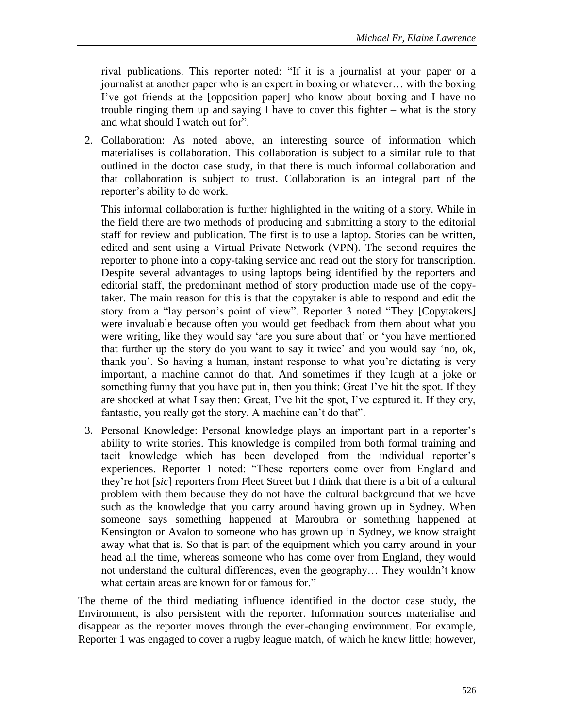rival publications. This reporter noted: "If it is a journalist at your paper or a journalist at another paper who is an expert in boxing or whatever… with the boxing I"ve got friends at the [opposition paper] who know about boxing and I have no trouble ringing them up and saying I have to cover this fighter – what is the story and what should I watch out for".

2. Collaboration: As noted above, an interesting source of information which materialises is collaboration. This collaboration is subject to a similar rule to that outlined in the doctor case study, in that there is much informal collaboration and that collaboration is subject to trust. Collaboration is an integral part of the reporter's ability to do work.

This informal collaboration is further highlighted in the writing of a story. While in the field there are two methods of producing and submitting a story to the editorial staff for review and publication. The first is to use a laptop. Stories can be written, edited and sent using a Virtual Private Network (VPN). The second requires the reporter to phone into a copy-taking service and read out the story for transcription. Despite several advantages to using laptops being identified by the reporters and editorial staff, the predominant method of story production made use of the copytaker. The main reason for this is that the copytaker is able to respond and edit the story from a "lay person's point of view". Reporter 3 noted "They [Copytakers] were invaluable because often you would get feedback from them about what you were writing, like they would say 'are you sure about that' or 'you have mentioned that further up the story do you want to say it twice" and you would say "no, ok, thank you". So having a human, instant response to what you"re dictating is very important, a machine cannot do that. And sometimes if they laugh at a joke or something funny that you have put in, then you think: Great I"ve hit the spot. If they are shocked at what I say then: Great, I"ve hit the spot, I"ve captured it. If they cry, fantastic, you really got the story. A machine can't do that".

3. Personal Knowledge: Personal knowledge plays an important part in a reporter"s ability to write stories. This knowledge is compiled from both formal training and tacit knowledge which has been developed from the individual reporter's experiences. Reporter 1 noted: "These reporters come over from England and they"re hot [*sic*] reporters from Fleet Street but I think that there is a bit of a cultural problem with them because they do not have the cultural background that we have such as the knowledge that you carry around having grown up in Sydney. When someone says something happened at Maroubra or something happened at Kensington or Avalon to someone who has grown up in Sydney, we know straight away what that is. So that is part of the equipment which you carry around in your head all the time, whereas someone who has come over from England, they would not understand the cultural differences, even the geography… They wouldn"t know what certain areas are known for or famous for."

The theme of the third mediating influence identified in the doctor case study, the Environment, is also persistent with the reporter. Information sources materialise and disappear as the reporter moves through the ever-changing environment. For example, Reporter 1 was engaged to cover a rugby league match, of which he knew little; however,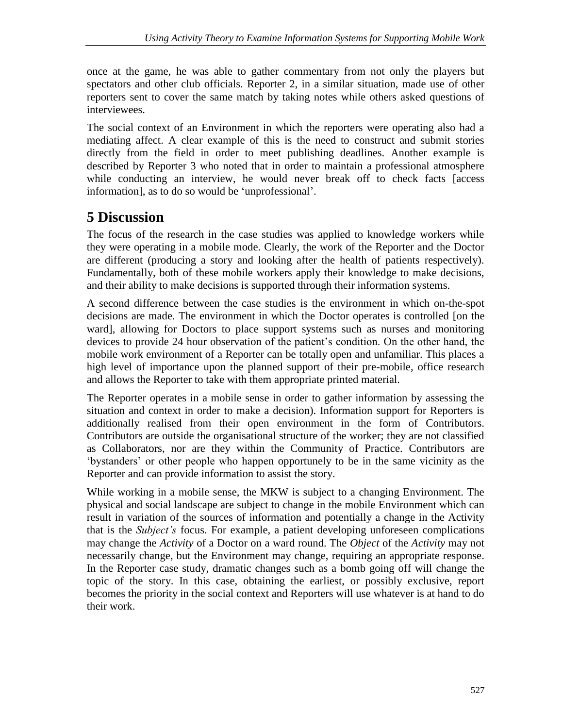once at the game, he was able to gather commentary from not only the players but spectators and other club officials. Reporter 2, in a similar situation, made use of other reporters sent to cover the same match by taking notes while others asked questions of interviewees.

The social context of an Environment in which the reporters were operating also had a mediating affect. A clear example of this is the need to construct and submit stories directly from the field in order to meet publishing deadlines. Another example is described by Reporter 3 who noted that in order to maintain a professional atmosphere while conducting an interview, he would never break off to check facts [access information], as to do so would be 'unprofessional'.

## **5 Discussion**

The focus of the research in the case studies was applied to knowledge workers while they were operating in a mobile mode. Clearly, the work of the Reporter and the Doctor are different (producing a story and looking after the health of patients respectively). Fundamentally, both of these mobile workers apply their knowledge to make decisions, and their ability to make decisions is supported through their information systems.

A second difference between the case studies is the environment in which on-the-spot decisions are made. The environment in which the Doctor operates is controlled [on the ward], allowing for Doctors to place support systems such as nurses and monitoring devices to provide 24 hour observation of the patient"s condition. On the other hand, the mobile work environment of a Reporter can be totally open and unfamiliar. This places a high level of importance upon the planned support of their pre-mobile, office research and allows the Reporter to take with them appropriate printed material.

The Reporter operates in a mobile sense in order to gather information by assessing the situation and context in order to make a decision). Information support for Reporters is additionally realised from their open environment in the form of Contributors. Contributors are outside the organisational structure of the worker; they are not classified as Collaborators, nor are they within the Community of Practice. Contributors are "bystanders" or other people who happen opportunely to be in the same vicinity as the Reporter and can provide information to assist the story.

While working in a mobile sense, the MKW is subject to a changing Environment. The physical and social landscape are subject to change in the mobile Environment which can result in variation of the sources of information and potentially a change in the Activity that is the *Subject's* focus. For example, a patient developing unforeseen complications may change the *Activity* of a Doctor on a ward round. The *Object* of the *Activity* may not necessarily change, but the Environment may change, requiring an appropriate response. In the Reporter case study, dramatic changes such as a bomb going off will change the topic of the story. In this case, obtaining the earliest, or possibly exclusive, report becomes the priority in the social context and Reporters will use whatever is at hand to do their work.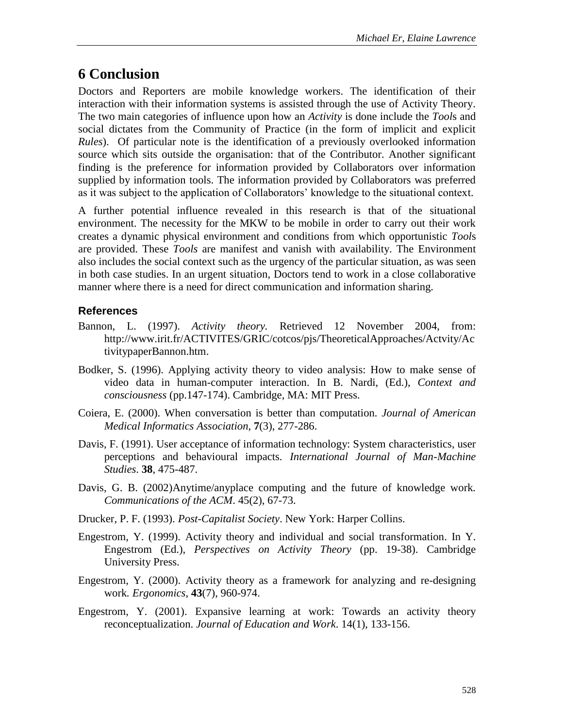## **6 Conclusion**

Doctors and Reporters are mobile knowledge workers. The identification of their interaction with their information systems is assisted through the use of Activity Theory. The two main categories of influence upon how an *Activity* is done include the *Tool*s and social dictates from the Community of Practice (in the form of implicit and explicit *Rules*). Of particular note is the identification of a previously overlooked information source which sits outside the organisation: that of the Contributor. Another significant finding is the preference for information provided by Collaborators over information supplied by information tools. The information provided by Collaborators was preferred as it was subject to the application of Collaborators" knowledge to the situational context.

A further potential influence revealed in this research is that of the situational environment. The necessity for the MKW to be mobile in order to carry out their work creates a dynamic physical environment and conditions from which opportunistic *Tool*s are provided. These *Tools* are manifest and vanish with availability. The Environment also includes the social context such as the urgency of the particular situation, as was seen in both case studies. In an urgent situation, Doctors tend to work in a close collaborative manner where there is a need for direct communication and information sharing.

#### **References**

- Bannon, L. (1997). *Activity theory.* Retrieved 12 November 2004, from: http://www.irit.fr/ACTIVITES/GRIC/cotcos/pjs/TheoreticalApproaches/Actvity/Ac tivitypaperBannon.htm.
- Bodker, S. (1996). Applying activity theory to video analysis: How to make sense of video data in human-computer interaction. In B. Nardi, (Ed.), *Context and consciousness* (pp.147-174). Cambridge, MA: MIT Press.
- Coiera, E. (2000). When conversation is better than computation*. Journal of American Medical Informatics Association*, **7**(3), 277-286.
- Davis, F. (1991). User acceptance of information technology: System characteristics, user perceptions and behavioural impacts. *International Journal of Man-Machine Studies*. **38**, 475-487.
- Davis, G. B. (2002)Anytime/anyplace computing and the future of knowledge work*. Communications of the ACM*. 45(2), 67-73.
- Drucker, P. F. (1993). *Post-Capitalist Society*. New York: Harper Collins.
- Engestrom, Y. (1999). Activity theory and individual and social transformation. In Y. Engestrom (Ed.), *Perspectives on Activity Theory* (pp. 19-38). Cambridge University Press.
- Engestrom, Y. (2000). Activity theory as a framework for analyzing and re-designing work*. Ergonomics*, **43**(7), 960-974.
- Engestrom, Y. (2001). Expansive learning at work: Towards an activity theory reconceptualization. *Journal of Education and Work*. 14(1), 133-156.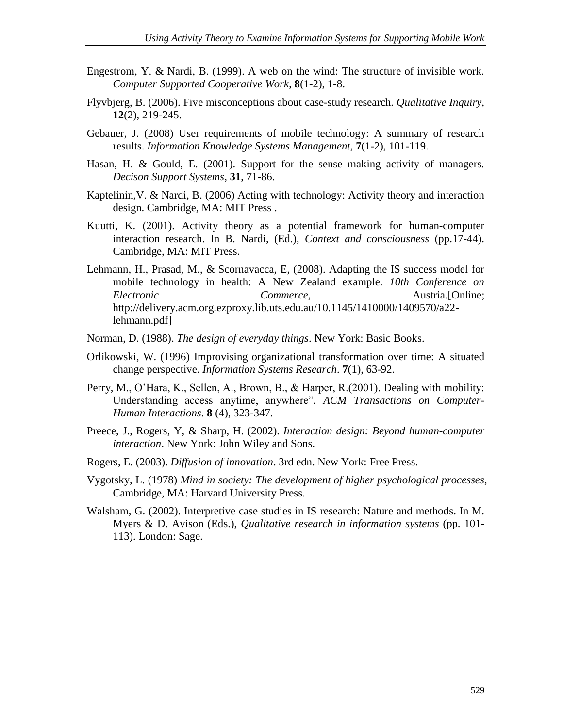- Engestrom, Y. & Nardi, B. (1999). A web on the wind: The structure of invisible work*. Computer Supported Cooperative Work*, **8**(1-2), 1-8.
- Flyvbjerg, B. (2006). Five misconceptions about case-study research. *Qualitative Inquiry,* **12**(2), 219-245.
- Gebauer, J. (2008) User requirements of mobile technology: A summary of research results. *Information Knowledge Systems Management*, **7**(1-2), 101-119.
- Hasan, H. & Gould, E. (2001). Support for the sense making activity of managers*. Decison Support Systems*, **31**, 71-86.
- Kaptelinin,V. & Nardi, B. (2006) Acting with technology: Activity theory and interaction design. Cambridge, MA: MIT Press .
- Kuutti, K. (2001). Activity theory as a potential framework for human-computer interaction research. In B. Nardi, (Ed.), *Context and consciousness* (pp.17-44). Cambridge, MA: MIT Press.
- Lehmann, H., Prasad, M., & Scornavacca, E, (2008). Adapting the IS success model for mobile technology in health: A New Zealand example. *10th Conference on Electronic Commerce*, Austria.[Online; http://delivery.acm.org.ezproxy.lib.uts.edu.au/10.1145/1410000/1409570/a22 lehmann.pdf]
- Norman, D. (1988). *The design of everyday things*. New York: Basic Books.
- Orlikowski, W. (1996) Improvising organizational transformation over time: A situated change perspective*. Information Systems Research*. **7**(1), 63-92.
- Perry, M., O"Hara, K., Sellen, A., Brown, B., & Harper, R.(2001). Dealing with mobility: Understanding access anytime, anywhere"*. ACM Transactions on Computer-Human Interactions*. **8** (4), 323-347.
- Preece, J., Rogers, Y, & Sharp, H. (2002). *Interaction design: Beyond human-computer interaction*. New York: John Wiley and Sons.
- Rogers, E. (2003). *Diffusion of innovation*. 3rd edn. New York: Free Press.
- Vygotsky, L. (1978) *Mind in society: The development of higher psychological processes*, Cambridge, MA: Harvard University Press.
- Walsham, G. (2002). Interpretive case studies in IS research: Nature and methods. In M. Myers & D. Avison (Eds.), *Qualitative research in information systems* (pp. 101- 113). London: Sage.